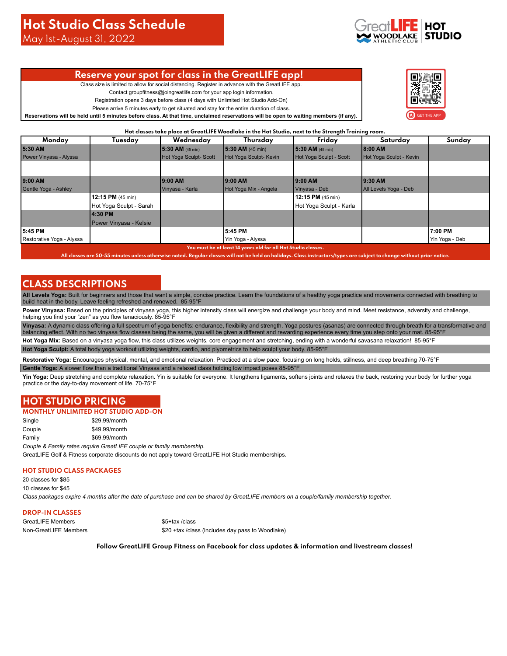May 1st-August 31, 2022

## **Reserve your spot for class in the GreatLIFE app!**

Class size is limited to allow for social distancing. Register in advance with the GreatLIFE app.

Contact groupfitness@joingreatlife.com for your app login information.

Registration opens 3 days before class (4 days with Unlimited Hot Studio Add-On)

Please arrive 5 minutes early to get situated and stay for the entire duration of class.

**Reservations will be held until 5 minutes before class. At that time, unclaimed reservations will be open to waiting members (if any).**



**Hot classes take place at GreatLIFE Woodlake in the Hot Studio, next to the Strength Training room.**

| Monday                    | Tuesday                     | Wednesday             | Thursday               | Friday                  | Saturday                | Sunday         |
|---------------------------|-----------------------------|-----------------------|------------------------|-------------------------|-------------------------|----------------|
| 5:30 AM                   |                             | 5:30 AM (45 min)      | 5:30 AM (45 min)       | $15:30$ AM (45 min)     | 18:00 AM                |                |
| Power Vinyasa - Alyssa    |                             | Hot Yoga Sculpt-Scott | Hot Yoga Sculpt- Kevin | Hot Yoga Sculpt - Scott | Hot Yoga Sculpt - Kevin |                |
|                           |                             |                       |                        |                         |                         |                |
|                           |                             |                       |                        |                         |                         |                |
| 9:00 AM                   |                             | 9:00 AM               | 9:00 AM                | 19:00 AM                | 19:30 AM                |                |
| Gentle Yoga - Ashley      |                             | Vinyasa - Karla       | Hot Yoga Mix - Angela  | Vinyasa - Deb           | All Levels Yoga - Deb   |                |
|                           | 12:15 PM $(45 \text{ min})$ |                       |                        | 12:15 PM (45 min)       |                         |                |
|                           | Hot Yoga Sculpt - Sarah     |                       |                        | Hot Yoga Sculpt - Karla |                         |                |
|                           | 4:30 PM                     |                       |                        |                         |                         |                |
|                           | Power Vinyasa - Kelsie      |                       |                        |                         |                         |                |
| 5:45 PM                   |                             |                       | 5:45 PM                |                         |                         | 7:00 PM        |
| Restorative Yoga - Alyssa |                             |                       | Yin Yoga - Alyssa      |                         |                         | Yin Yoga - Deb |

**You must be at least 14 years old for all Hot Studio classes.**

**All classes are 50-55 minutes unless otherwise noted. Regular classes will not be held on holidays. Class instructors/types are subject to change without prior notice.**

## **CLASS DESCRIPTIONS**

**All Levels Yoga:** Built for beginners and those that want a simple, concise practice. Learn the foundations of a healthy yoga practice and movements connected with breathing to build heat in the body. Leave feeling refreshed and renewed. 85-95°F

Power Vinyasa: Based on the principles of vinyasa yoga, this higher intensity class will energize and challenge your body and mind. Meet resistance, adversity and challenge, helping you find your "zen" as you flow tenaciously. 85-95°F

**Vinyasa:** A dynamic class offering a full spectrum of yoga benefits: endurance, flexibility and strength. Yoga postures (asanas) are connected through breath for a transformative and balancing effect. With no two vinyasa flow classes being the same, you will be given a different and rewarding experience every time you step onto your mat. 85-95°F

Hot Yoga Mix: Based on a vinyasa yoga flow, this class utilizes weights, core engagement and stretching, ending with a wonderful savasana relaxation! 85-95°F **Hot Yoga Sculpt:** A total body yoga workout utilizing weights, cardio, and plyometrics to help sculpt your body. 85-95°F

Restorative Yoga: Encourages physical, mental, and emotional relaxation. Practiced at a slow pace, focusing on long holds, stillness, and deep breathing 70-75°F **Gentle Yoga:** A slower flow than a traditional Vinyasa and a relaxed class holding low impact poses 85-95°F

Yin Yoga: Deep stretching and complete relaxation. Yin is suitable for everyone. It lengthens ligaments, softens joints and relaxes the back, restoring your body for further yoga practice or the day-to-day movement of life. 70-75°F

# **HOT STUDIO PRICING**

### **MONTHLY UNLIMITED HOT STUDIO ADD-ON**

Single \$29.99/month Couple \$49.99/month Family \$69.99/month

*Couple & Family rates require GreatLIFE couple or family membership.* GreatLIFE Golf & Fitness corporate discounts do not apply toward GreatLIFE Hot Studio memberships.

### **HOT STUDIO CLASS PACKAGES**

20 classes for \$85 10 classes for \$45

*Class packages expire 4 months after the date of purchase and can be shared by GreatLIFE members on a couple/family membership together.*

## **DROP-IN CLASSES**

GreatLIFE Members \$5+tax /class

Non-GreatLIFE Members **\$20 +tax /class (includes day pass to Woodlake)** 

**Follow GreatLIFE Group Fitness on Facebook for class updates & information and livestream classes!**